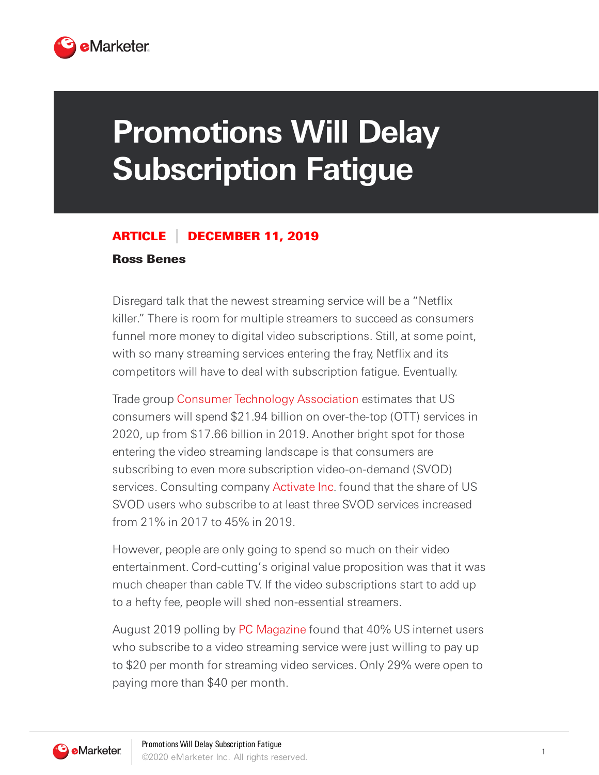

## **Promotions Will Delay Subscription Fatigue**

## ARTICLE DECEMBER 11, 2019

## Ross Benes

Disregard talk that the newest streaming service will be a "Netflix killer." There is room for multiple streamers to succeed as consumers funnel more money to digital video subscriptions. Still, at some point, with so many streaming services entering the fray, Netflix and its competitors will have to deal with subscription fatigue. Eventually.

Trade group Consumer Technology [Association](https://www.cta.tech/) estimates that US consumers will spend \$21.94 billion on over-the-top (OTT) services in 2020, up from \$17.66 billion in 2019. Another bright spot for those entering the video streaming landscape is that consumers are subscribing to even more subscription video-on-demand (SVOD) services. Consulting company [Activate](https://activate.com/) Inc. found that the share of US SVOD users who subscribe to at least three SVOD services increased from 21% in 2017 to 45% in 2019.

However, people are only going to spend so much on their video entertainment. Cord-cutting's original value proposition was that it was much cheaper than cable TV. If the video subscriptions start to add up to a hefty fee, people will shed non-essential streamers.

August 2019 polling by PC [Magazine](https://www.pcmag.com/) found that 40% US internet users who subscribe to a video streaming service were just willing to pay up to \$20 per month for streaming video services. Only 29% were open to paying more than \$40 per month.

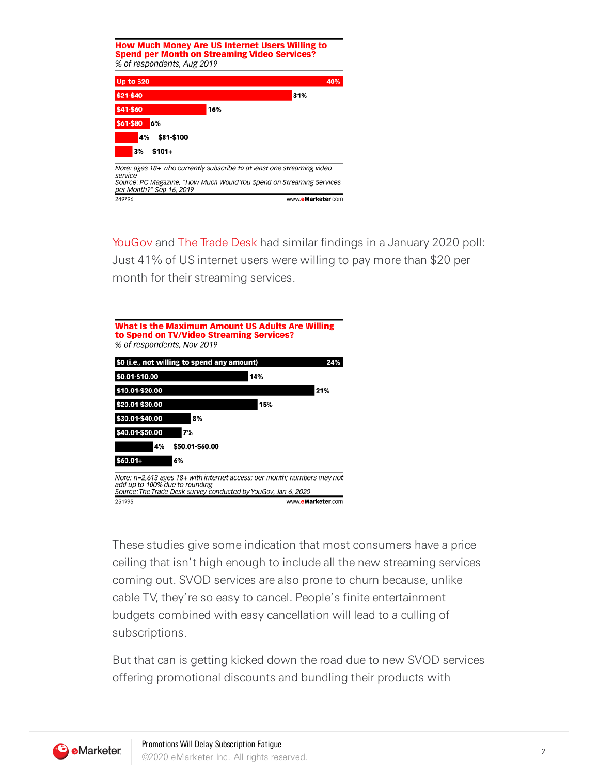

[YouGov](https://today.yougov.com/) and The [Trade](https://www.thetradedesk.com/) Desk had similar findings in a January 2020 poll: Just 41% of US internet users were willing to pay more than \$20 per month for their streaming services.



These studies give some indication that most consumers have a price ceiling that isn't high enough to include all the new streaming services coming out. SVOD services are also prone to churn because, unlike cable TV, they're so easy to cancel. People's finite entertainment budgets combined with easy cancellation will lead to a culling of subscriptions.

But that can is getting kicked down the road due to new SVOD services offering promotional discounts and bundling their products with